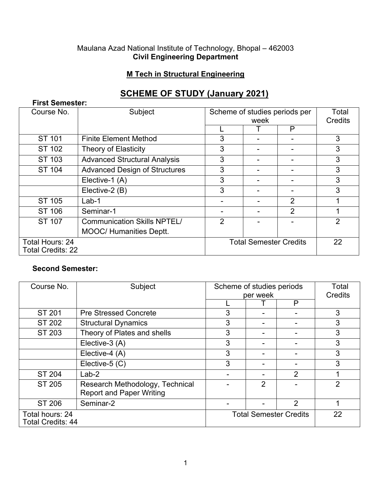#### Maulana Azad National Institute of Technology, Bhopal – 462003 **Civil Engineering Department**

## **M Tech in Structural Engineering**

# **SCHEME OF STUDY (January 2021)**

| <b>First Semester:</b>                      |                                      |                               |                               |   |                |  |
|---------------------------------------------|--------------------------------------|-------------------------------|-------------------------------|---|----------------|--|
| Course No.                                  | Subject                              | Scheme of studies periods per |                               |   | Total          |  |
|                                             |                                      |                               | week                          |   | Credits        |  |
|                                             |                                      |                               |                               | P |                |  |
| ST 101                                      | <b>Finite Element Method</b>         | 3                             |                               |   | 3              |  |
| ST 102                                      | <b>Theory of Elasticity</b>          | 3                             | -                             |   | 3              |  |
| ST 103                                      | <b>Advanced Structural Analysis</b>  | 3                             |                               |   | 3              |  |
| ST 104                                      | <b>Advanced Design of Structures</b> | 3                             |                               |   | 3              |  |
|                                             | Elective-1 (A)                       | 3                             |                               |   | 3              |  |
|                                             | Elective-2 (B)                       | 3                             |                               |   | 3              |  |
| ST 105                                      | $Lab-1$                              |                               |                               | 2 |                |  |
| ST 106                                      | Seminar-1                            |                               |                               | 2 |                |  |
| ST 107                                      | <b>Communication Skills NPTEL/</b>   | $\overline{2}$                |                               |   | $\overline{2}$ |  |
|                                             | <b>MOOC/ Humanities Deptt.</b>       |                               |                               |   |                |  |
| Total Hours: 24<br><b>Total Credits: 22</b> |                                      |                               | <b>Total Semester Credits</b> |   | 22             |  |

#### **Second Semester:**

| Course No.                                  | Subject                         | Scheme of studies periods     |                | Total          |    |
|---------------------------------------------|---------------------------------|-------------------------------|----------------|----------------|----|
|                                             |                                 | per week                      |                | Credits        |    |
|                                             |                                 |                               |                | P              |    |
| <b>ST 201</b>                               | <b>Pre Stressed Concrete</b>    | 3                             | -              |                | 3  |
| ST 202                                      | <b>Structural Dynamics</b>      | 3                             |                |                | 3  |
| ST 203                                      | Theory of Plates and shells     | 3                             |                |                | 3  |
|                                             | Elective-3 (A)                  | 3                             |                |                | 3  |
|                                             | Elective-4 (A)                  | 3                             |                |                | 3  |
|                                             | Elective-5 (C)                  | 3                             |                |                | 3  |
| ST 204                                      | $Lab-2$                         |                               |                | $\overline{2}$ |    |
| ST 205                                      | Research Methodology, Technical |                               | $\overline{2}$ |                | 2  |
|                                             | <b>Report and Paper Writing</b> |                               |                |                |    |
| ST 206                                      | Seminar-2                       |                               |                | $\overline{2}$ |    |
| Total hours: 24<br><b>Total Credits: 44</b> |                                 | <b>Total Semester Credits</b> |                |                | 22 |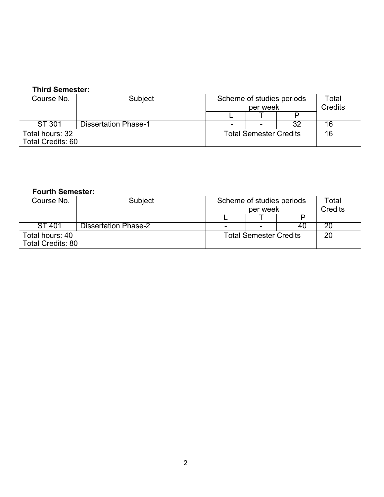### **Third Semester:**

| Course No.                                  | Subject                     | Scheme of studies periods<br>per week |  | Total<br><b>Credits</b> |    |
|---------------------------------------------|-----------------------------|---------------------------------------|--|-------------------------|----|
|                                             |                             |                                       |  |                         |    |
| ST 301                                      | <b>Dissertation Phase-1</b> | $\overline{\phantom{a}}$              |  | າດ                      | 16 |
| Total hours: 32<br><b>Total Credits: 60</b> |                             | <b>Total Semester Credits</b>         |  |                         | 16 |

#### **Fourth Semester:**

| Course No.                                  | Subject                     |                               | Scheme of studies periods<br>per week |    | Total<br>Credits |
|---------------------------------------------|-----------------------------|-------------------------------|---------------------------------------|----|------------------|
|                                             |                             |                               |                                       |    |                  |
| ST 401                                      | <b>Dissertation Phase-2</b> |                               |                                       | 4U |                  |
| Total hours: 40<br><b>Total Credits: 80</b> |                             | <b>Total Semester Credits</b> |                                       |    | 20               |